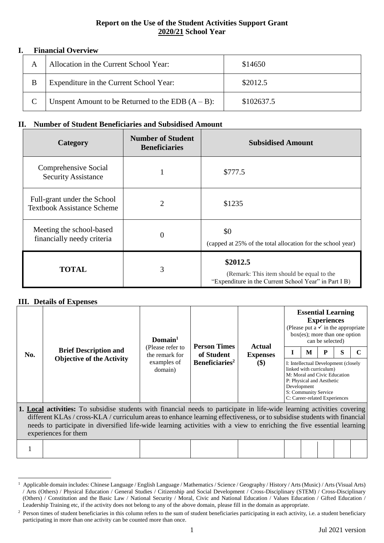# **Report on the Use of the Student Activities Support Grant 2020/21 School Year**

## **I. Financial Overview**

|  | Allocation in the Current School Year:               | \$14650    |
|--|------------------------------------------------------|------------|
|  | Expenditure in the Current School Year:              | \$2012.5   |
|  | Unspent Amount to be Returned to the EDB $(A - B)$ : | \$102637.5 |

# **II. Number of Student Beneficiaries and Subsidised Amount**

| Category                                                         | <b>Number of Student</b><br><b>Beneficiaries</b> | <b>Subsidised Amount</b>                                                                                       |
|------------------------------------------------------------------|--------------------------------------------------|----------------------------------------------------------------------------------------------------------------|
| Comprehensive Social<br><b>Security Assistance</b>               |                                                  | \$777.5                                                                                                        |
| Full-grant under the School<br><b>Textbook Assistance Scheme</b> | $\overline{2}$                                   | \$1235                                                                                                         |
| Meeting the school-based<br>financially needy criteria           | 0                                                | \$0<br>(capped at 25% of the total allocation for the school year)                                             |
| <b>TOTAL</b>                                                     | 3                                                | \$2012.5<br>(Remark: This item should be equal to the<br>"Expenditure in the Current School Year" in Part I B) |

### **III. Details of Expenses**

|     |                                                                                                                          | Domain $1$                         | <b>Person Times</b>        |                           |                                                                                                                              | <b>Essential Learning</b><br>(Please put a $\checkmark$ in the appropriate<br>$box(es)$ ; more than one option |   |   |  |
|-----|--------------------------------------------------------------------------------------------------------------------------|------------------------------------|----------------------------|---------------------------|------------------------------------------------------------------------------------------------------------------------------|----------------------------------------------------------------------------------------------------------------|---|---|--|
| No. | <b>Brief Description and</b>                                                                                             | (Please refer to<br>the remark for | of Student                 | Actual<br><b>Expenses</b> |                                                                                                                              | M                                                                                                              | P | S |  |
|     | <b>Objective of the Activity</b>                                                                                         | examples of<br>domain)             | Beneficiaries <sup>2</sup> | \$)                       | linked with curriculum)<br>P: Physical and Aesthetic<br>Development<br>S: Community Service<br>C: Career-related Experiences | I: Intellectual Development (closely<br>M: Moral and Civic Education                                           |   |   |  |
|     | 1. Local activities: To subsidise students with financial needs to participate in life-wide learning activities covering |                                    |                            |                           |                                                                                                                              |                                                                                                                |   |   |  |

different KLAs / cross-KLA / curriculum areas to enhance learning effectiveness, or to subsidise students with financial needs to participate in diversified life-wide learning activities with a view to enriching the five essential learning experiences for them

|--|--|--|--|--|--|--|--|--|--|--|

 $\overline{a}$ <sup>1</sup> Applicable domain includes: Chinese Language / English Language / Mathematics / Science / Geography / History / Arts (Music) / Arts (Visual Arts) / Arts (Others) / Physical Education / General Studies / Citizenship and Social Development / Cross-Disciplinary (STEM) / Cross-Disciplinary (Others) / Constitution and the Basic Law / National Security / Moral, Civic and National Education / Values Education / Gifted Education / Leadership Training etc, if the activity does not belong to any of the above domain, please fill in the domain as appropriate.

<sup>&</sup>lt;sup>2</sup> Person times of student beneficiaries in this column refers to the sum of student beneficiaries participating in each activity, i.e. a student beneficiary participating in more than one activity can be counted more than once.